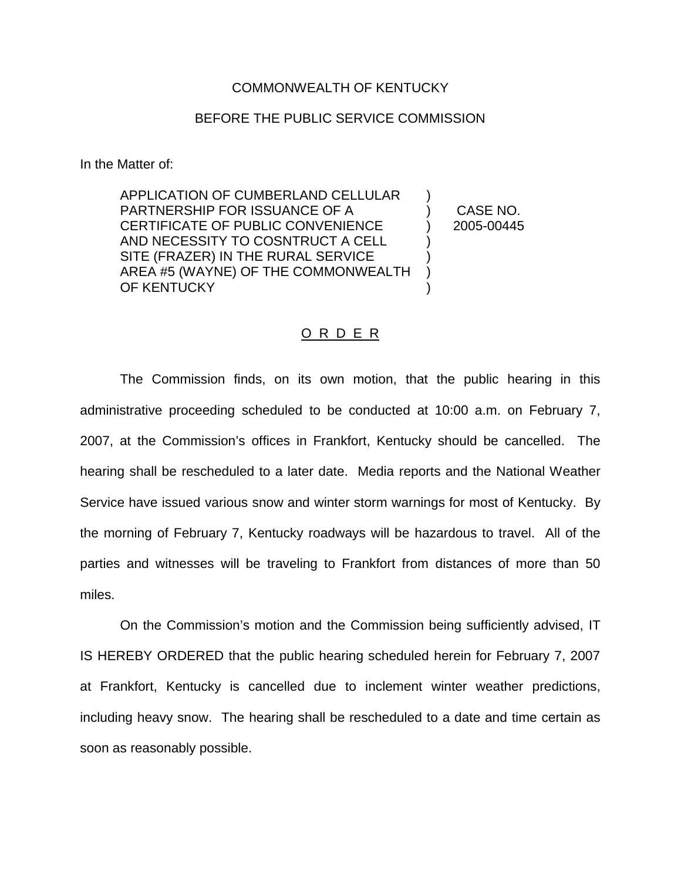## COMMONWEALTH OF KENTUCKY

## BEFORE THE PUBLIC SERVICE COMMISSION

In the Matter of:

APPLICATION OF CUMBERLAND CELLULAR PARTNERSHIP FOR ISSUANCE OF A CERTIFICATE OF PUBLIC CONVENIENCE AND NECESSITY TO COSNTRUCT A CELL SITE (FRAZER) IN THE RURAL SERVICE AREA #5 (WAYNE) OF THE COMMONWEALTH OF KENTUCKY ) ) ) ) )

) CASE NO. ) 2005-00445

## O R D E R

The Commission finds, on its own motion, that the public hearing in this administrative proceeding scheduled to be conducted at 10:00 a.m. on February 7, 2007, at the Commission's offices in Frankfort, Kentucky should be cancelled. The hearing shall be rescheduled to a later date. Media reports and the National Weather Service have issued various snow and winter storm warnings for most of Kentucky. By the morning of February 7, Kentucky roadways will be hazardous to travel. All of the parties and witnesses will be traveling to Frankfort from distances of more than 50 miles.

On the Commission's motion and the Commission being sufficiently advised, IT IS HEREBY ORDERED that the public hearing scheduled herein for February 7, 2007 at Frankfort, Kentucky is cancelled due to inclement winter weather predictions, including heavy snow. The hearing shall be rescheduled to a date and time certain as soon as reasonably possible.